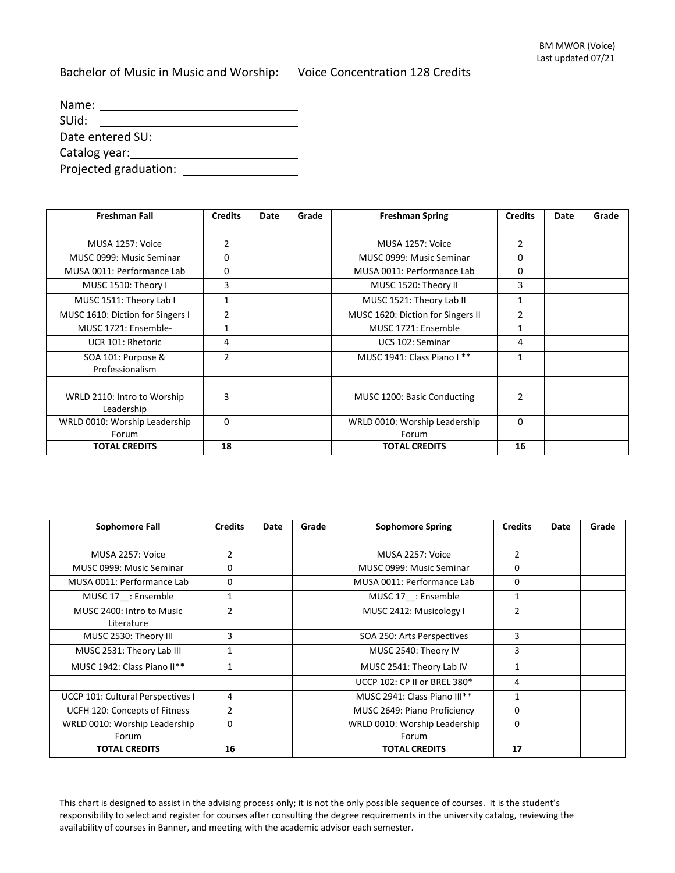Bachelor of Music in Music and Worship: Voice Concentration 128 Credits

| Name:            |                       |  |  |  |  |  |
|------------------|-----------------------|--|--|--|--|--|
| SUid:            |                       |  |  |  |  |  |
| Date entered SU: |                       |  |  |  |  |  |
| Catalog year:    |                       |  |  |  |  |  |
|                  | Projected graduation: |  |  |  |  |  |

| <b>Freshman Fall</b>                      | <b>Credits</b> | Date | Grade | <b>Freshman Spring</b>                 | <b>Credits</b> | Date | Grade |
|-------------------------------------------|----------------|------|-------|----------------------------------------|----------------|------|-------|
|                                           |                |      |       |                                        |                |      |       |
| MUSA 1257: Voice                          | $\overline{2}$ |      |       | MUSA 1257: Voice                       | 2              |      |       |
| MUSC 0999: Music Seminar                  | 0              |      |       | MUSC 0999: Music Seminar               | 0              |      |       |
| MUSA 0011: Performance Lab                | 0              |      |       | MUSA 0011: Performance Lab             | 0              |      |       |
| MUSC 1510: Theory I                       | 3              |      |       | MUSC 1520: Theory II                   | 3              |      |       |
| MUSC 1511: Theory Lab I                   |                |      |       | MUSC 1521: Theory Lab II               | 1              |      |       |
| MUSC 1610: Diction for Singers I          | $\overline{2}$ |      |       | MUSC 1620: Diction for Singers II      | $\overline{2}$ |      |       |
| MUSC 1721: Ensemble-                      | 1              |      |       | MUSC 1721: Ensemble                    | $\mathbf{1}$   |      |       |
| UCR 101: Rhetoric                         | 4              |      |       | UCS 102: Seminar                       | 4              |      |       |
| SOA 101: Purpose &<br>Professionalism     | $\mathfrak{p}$ |      |       | MUSC 1941: Class Piano I **            | 1              |      |       |
|                                           |                |      |       |                                        |                |      |       |
| WRLD 2110: Intro to Worship<br>Leadership | 3              |      |       | MUSC 1200: Basic Conducting            | $\overline{2}$ |      |       |
| WRLD 0010: Worship Leadership<br>Forum    | $\Omega$       |      |       | WRLD 0010: Worship Leadership<br>Forum | $\Omega$       |      |       |
| <b>TOTAL CREDITS</b>                      | 18             |      |       | <b>TOTAL CREDITS</b>                   | 16             |      |       |

| Sophomore Fall                          | <b>Credits</b> | Date | Grade | <b>Sophomore Spring</b>                | <b>Credits</b> | Date | Grade |
|-----------------------------------------|----------------|------|-------|----------------------------------------|----------------|------|-------|
|                                         |                |      |       |                                        |                |      |       |
| MUSA 2257: Voice                        | $\overline{2}$ |      |       | MUSA 2257: Voice                       | $\mathfrak{p}$ |      |       |
| MUSC 0999: Music Seminar                | 0              |      |       | MUSC 0999: Music Seminar               | $\Omega$       |      |       |
| MUSA 0011: Performance Lab              | 0              |      |       | MUSA 0011: Performance Lab             | 0              |      |       |
| MUSC 17 : Ensemble                      | $\mathbf{1}$   |      |       | MUSC 17 : Ensemble                     | 1              |      |       |
| MUSC 2400: Intro to Music<br>Literature | $\overline{2}$ |      |       | MUSC 2412: Musicology I                | $\overline{2}$ |      |       |
| MUSC 2530: Theory III                   | 3              |      |       | SOA 250: Arts Perspectives             | 3              |      |       |
| MUSC 2531: Theory Lab III               | 1              |      |       | MUSC 2540: Theory IV                   | 3              |      |       |
| MUSC 1942: Class Piano II**             | 1              |      |       | MUSC 2541: Theory Lab IV               | 1              |      |       |
|                                         |                |      |       | UCCP 102: CP II or BREL 380*           | 4              |      |       |
| UCCP 101: Cultural Perspectives I       | 4              |      |       | MUSC 2941: Class Piano III**           | $\mathbf{1}$   |      |       |
| UCFH 120: Concepts of Fitness           | $\overline{2}$ |      |       | MUSC 2649: Piano Proficiency           | 0              |      |       |
| WRLD 0010: Worship Leadership<br>Forum  | $\Omega$       |      |       | WRLD 0010: Worship Leadership<br>Forum | $\Omega$       |      |       |
| <b>TOTAL CREDITS</b>                    | 16             |      |       | <b>TOTAL CREDITS</b>                   | 17             |      |       |

This chart is designed to assist in the advising process only; it is not the only possible sequence of courses. It is the student's responsibility to select and register for courses after consulting the degree requirements in the university catalog, reviewing the availability of courses in Banner, and meeting with the academic advisor each semester.